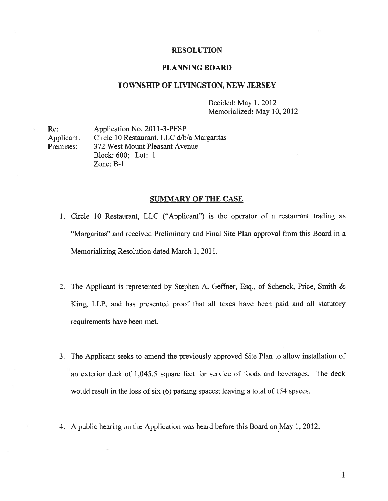#### RESOLUTION

### PLANNING BOARD

#### TOWNSHIP OF LIVINGSTON, NEW JERSEY

Decided: May 1, 2012 Memorialized: May 10, 2012

Re: Application No. 2011-3-PFSP Applicant: Circle 10 Restaurant, LLC d/b/a Margaritas Premises: 372 West Mount Pleasant Avenue Block: 600; Lot: 1 Zone: B-i

## SUMMARY OF THE CASE

1. Circle 10 Restaurant, LLC ("Applicant") is the operator of <sup>a</sup> restaurant trading as "Margaritas" and received Preliminary and Final Site Plan approval from this Board in <sup>a</sup> Memorializing Resolution dated March 1, 2011.

- 2. The Applicant is represented by Stephen A. Geffner, Esq., of Schenck, Price, Smith & King, LLP, and has presented proof that all taxes have been paid and all statutory requirements have been met.
- 3. The Applicant seeks to amend the previously approved Site Plan to allow installation of an exterior deck of 1,045.5 square feet for service of foods and beverages. The deck would result in the loss of six (6) parking spaces; leaving <sup>a</sup> total of 154 spaces.
- 4. A public hearing on the Application was heard before this Board on May 1, 2012.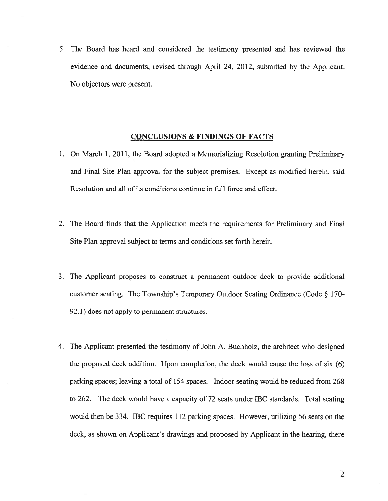5. The Board has heard and considered the testimony presented and has reviewed the evidence and documents, revised through April 24, 2012, submitted by the Applicant. No objectors were present.

### CONCLUSIONS & FINDINGS OF FACTS

- 1. On March 1, 2011, the Board adopted <sup>a</sup> Memorializing Resolution granting Preliminary and Final Site Plan approval for the subject premises. Except as modified herein, said Resolution and all of its conditions continue in full force and effect.
- 2. The Board finds that the Application meets the requirements for Preliminary and Final Site Plan approval subject to terms and conditions set forth herein.
- 3. The Applicant proposes to construct <sup>a</sup> permanen<sup>t</sup> outdoor deck to provide additional customer seating. The Township's Temporary Outdoor Seating Ordinance (Code § 170- 92.1) does not apply to permanen<sup>t</sup> structures.
- 4. The Applicant presented the testimony of John A. Buchholz, the architect who designed the proposed deck addition. Upon completion, the deck would cause the loss of six (6) parking spaces; leaving <sup>a</sup> total of 154 spaces. Indoor seating would be reduced from 268 to 262. The deck would have <sup>a</sup> capacity of 72 seats under IBC standards. Total seating would then be 334. IBC requires 112 parking spaces. However, utilizing 56 seats on the deck, as shown on Applicant's drawings and proposed by Applicant in the hearing, there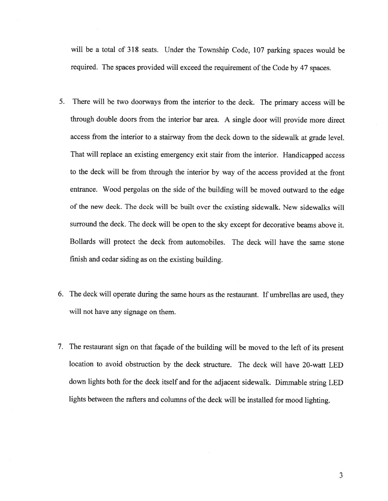will be <sup>a</sup> total of <sup>318</sup> seats. Under the Township Code, <sup>107</sup> parking spaces would be required. The spaces provided will exceed the requirement of the Code by 47 spaces.

- 5. There will be two doorways from the interior to the deck. The primary access will be through double doors from the interior bar area. <sup>A</sup> single door will provide more direct access from the interior to <sup>a</sup> stairway from the deck down to the sidewalk at grade level. That will replace an existing emergency exit stair from the interior. Handicapped access to the deck will be from through the interior by way of the access provided at the front entrance. Wood pergolas on the side of the building will be moved outward to the edge of the new deck. The deck will be built over the existing sidewalk. New sidewalks will surround the deck. The deck will be open to the sky excep<sup>t</sup> for decorative beams above it. Bollards will protect the deck from automobiles. The deck will have the same stone finish and cedar siding as on the existing building.
- 6. The deck will operate during the same hours as the restaurant. If umbrellas are used, they will not have any signage on them.
- 7. The restaurant sign on that façade of the building will be moved to the left of its presen<sup>t</sup> location to avoid obstruction by the deck structure. The deck will have 20-watt LED down lights both for the deck itself and for the adjacent sidewalk. Dimmable string LED lights between the rafters and columns of the deck will be installed for mood lighting.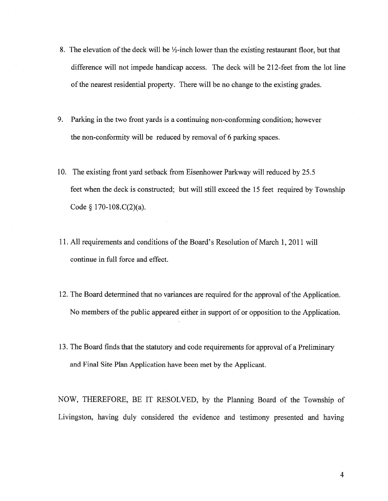- 8. The elevation of the deck will be  $\frac{1}{2}$ -inch lower than the existing restaurant floor, but that difference will not impede handicap access. The deck will be 212-feet from the lot line of the nearest residential property. There will be no change to the existing grades.
- 9. Parking in the two front yards is <sup>a</sup> continuing non-conforming condition; however the non-conformity will be reduced by removal of 6 parking spaces.
- 10. The existing front yard setback from Eisenhower Parkway will reduced by 25.5 feet when the deck is constructed; but will still exceed the 15 feet required by Township Code  $\S$  170-108.C(2)(a).
- 11. All requirements and conditions of the Board's Resolution of March 1, 2011 will continue in full force and effect.
- 12. The Board determined that no variances are required for the approval of the Application. No members of the public appeared either in support of or opposition to the Application.
- 13. The Board finds that the statutory and code requirements for approval of <sup>a</sup> Preliminary and Final Site Plan Application have been met by the Applicant.

NOW, THEREFORE, BE IT RESOLVED, by the Planning Board of the Township of Livingston, having duly considered the evidence and testimony presented and having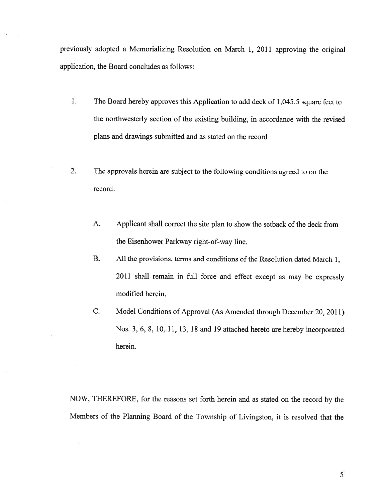previously adopted <sup>a</sup> Memorializing Resolution on March 1, <sup>2011</sup> approving the original application, the Board concludes as follows:

- 1. The Board hereby approves this Application to add deck of 1,045.5 square feet to the northwesterly section of the existing building, in accordance with the revised plans and drawings submitted and as stated on the record
- 2. The approvals herein are subject to the following conditions agreed to on the record:
	- A. Applicant shall correct the site plan to show the setback of the deck from the Eisenhower Parkway right-of-way line.
	- B. All the provisions, terms and conditions of the Resolution dated March 1, <sup>2011</sup> shall remain in full force and effect except as may be expressly modified herein.
	- C. Model Conditions of Approval (As Amended through December 20, 2011) Nos. 3, 6, 8, 10, 11, 13, <sup>18</sup> and <sup>19</sup> attached hereto are hereby incorporated herein.

NOW, THEREFORE, for the reasons set forth herein and as stated on the record by the Members of the Planning Board of the Township of Livingston, it is resolved that the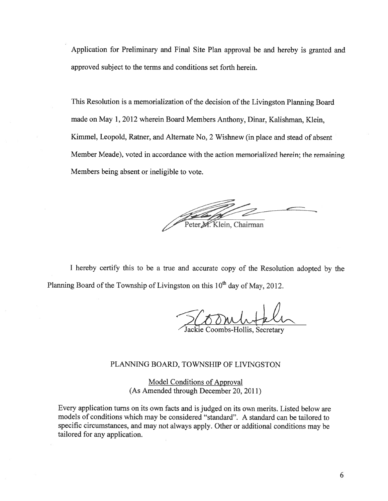Application for Preliminary and Final Site Plan approva<sup>l</sup> be and hereby is granted and approved subject to the terms and conditions set forth herein.

This Resolution is a memorialization of the decision of the Livingston Planning Board made on May 1, 2012 wherein Board Members Anthony, Dinar, Kalishman, Klein, Kimmel, Leopold, Ratner, and Alternate No, <sup>2</sup> Wishnew (in <sup>p</sup>lace and stead of absent Member Meade), voted in accordance with the action memorialized herein; the remaining Members being absent or ineligible to vote.

Peter M. Klein, Chairman

<sup>I</sup> hereby certify this to be <sup>a</sup> true and accurate copy of the Resolution adopted by the Planning Board of the Township of Livingston on this  $10<sup>th</sup>$  day of May, 2012.

5/0mlstele

lackie Coombs-Hollis, Secretary

# PLANNTNG BOARD, TOWNSHIP OF LIVINGSTON

Model Conditions of Approval (As Amended through December 20, 2011)

Every application turns on its own facts and is judged on its own merits. Listed below are models of conditions which may be considered "standard". A standard can be tailored to specific circumstances, and may not always apply. Other or additional conditions may be tailored for any application.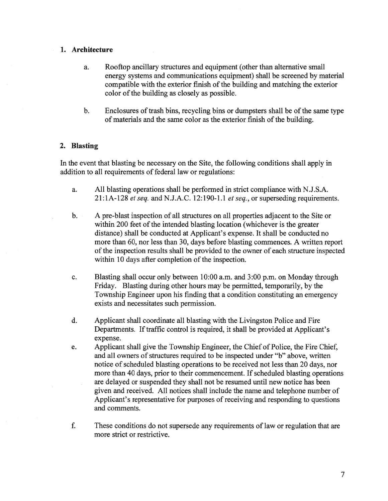## 1. Architecture

- a. Rooftop ancillary structures and equipment (other than alternative small energy systems and communications equipment) shall be screened by material compatible with the exterior finish of the building and matching the exterior color of the building as closely as possible.
- b. Enclosures of trash bins, recycling bins or dumpsters shall be of the same type of materials and the same color as the exterior finish of the building.

# 2. Blasting

In the event that blasting be necessary on the Site, the following conditions shall apply in addition to all requirements of federal law or regulations:

- a. All blasting operations shall be performed in strict compliance with N.J.S.A. 21:1A-128 et seq. and N.J.A.C. 12:190-1.1 et seq., or superseding requirements.
- b. A pre-blast inspection of all structures on all properties adjacent to the Site or within 200 feet of the intended blasting location (whichever is the greater distance) shall be conducted at Applicant's expense. It shall be conducted no more than 60, nor less than 30, days before blasting commences. A written repor<sup>t</sup> of the inspection results shall be provided to the owner of each structure inspected within 10 days after completion of the inspection.
- c. Blasting shall occur only between 10:00 a.m. and 3:00 p.m. on Monday through Friday. Blasting during other hours may be permitted, temporarily, by the Township Engineer upon his finding that <sup>a</sup> condition constituting an emergency exists and necessitates such permission.
- d. Applicant shall coordinate all blasting with the Livingston Police and Fire Departments. If traffic control is required, it shall be provided at Applicant's expense.
- e. Applicant shall give the Township Engineer, the Chief of Police, the Fire Chief, and all owners of structures required to be inspected under "b" above, written notice of scheduled blasting operations to be received not less than 20 days, nor more than 40 days, prior to their commencement. If scheduled blasting operations are delayed or suspended they shall not be resumed until new notice has been given and received. All notices shall include the name and telephone number of Applicant's representative for purposes of receiving and responding to questions and comments.
- f. These conditions do not supersede any requirements of law or regulation that are more strict or restrictive.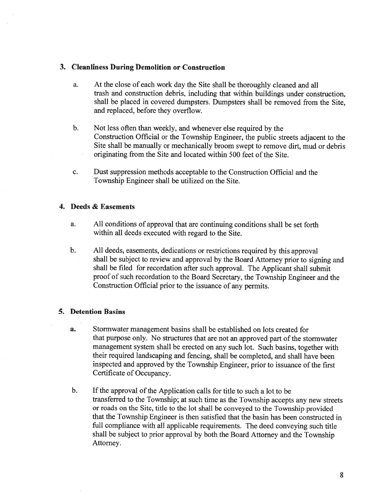## 3. Cleanliness During Demolition or Construction

- a. At the close of each work day the Site shall be thoroughly cleaned and all trash and construction debris, including that within buildings under construction, shall be placed in covered dumpsters. Dumpsters shall be removed from the Site, and replaced, before they overflow.
- b. Not less often than weekly, and whenever else required by the Construction Official or the Township Engineer, the public streets adjacent to the Site shall be manually or mechanically broom swep<sup>t</sup> to remove dirt, mud or debris originating from the Site and located within 500 feet of the Site.
- c. Dust suppression methods acceptable to the Construction Official and the Township Engineer shall be utilized on the Site.

# 4. Deeds & Easements

- a. All conditions of approval that are continuing conditions shall be set forth within all deeds executed with regard to the Site.
- b. All deeds, easements, dedications or restrictions required by this approva<sup>l</sup> shall be subject to review and approva<sup>l</sup> by the Board Attorney prior to signing and shall be filed for recordation after such approval. The Applicant shall submit proo<sup>f</sup> of such recordation to the Board Secretary, the Township Engineer and the Construction Official prior to the issuance of any permits.

# 5. Detention Basins

- a. Stormwater managemen<sup>t</sup> basins shall be established on lots created for that purpose only. No structures that are not an approved part of the stormwater managemen<sup>t</sup> system shall be erected on any such lot. Such basins, together with their required landscaping and fencing, shall be completed, and shall have been inspected and approved by the Township Engineer, prior to issuance of the first Certificate of Occupancy.
- b. If the approval of the Application calls for title to such a lot to be transferred to the Township; at such time as the Township accepts any new streets or roads on the Site, title to the lot shall be conveye<sup>d</sup> to the Township provided that the Township Engineer is then satisfied that the basin has been constructed in full compliance with all applicable requirements. The deed conveying such title shall be subject to prior approva<sup>l</sup> by both the Board Attorney and the Township Attorney.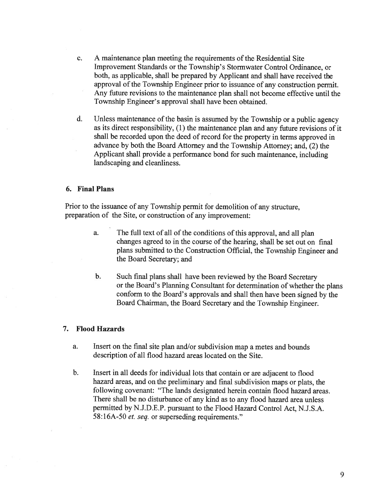- c. A maintenance plan meeting the requirements of the Residential Site Improvement Standards or the Township's Stormwater Control Ordinance, or both, as applicable, shall be prepared by Applicant and shall have received the approval of the Township Engineer prior to issuance of any construction permit. Any future revisions to the maintenance plan shall not become effective until the Township Engineer's approval shall have been obtained.
- d. Unless maintenance of the basin is assumed by the Township or a public agency as its direct responsibility, (1) the maintenance <sup>p</sup>lan and any future revisions of it shall be recorded upon the deed of record for the property in terms approve<sup>d</sup> in advance by both the Board Attorney and the Township Attorney; and, (2) the Applicant shall provide <sup>a</sup> performance bond for such maintenance, including landscaping and cleanliness.

## 6. Final Plans

Prior to the issuance of any Township permit for demolition of any structure, preparation of the Site, or construction of any improvement:

> a. The full text of all of the conditions of this approval, and all <sup>p</sup>lan changes agreed to in the course of the hearing, shall be set out on final <sup>p</sup>lans submitted to the Construction Official, the Township Engineer and the Board Secretary; and

b. Such final <sup>p</sup>lans shall have been reviewed by the Board Secretary or the Board's Planning Consultant for determination of whether the <sup>p</sup>lans conform to the Board's approvals and shall then have been signed by the Board Chairman, the Board Secretary and the Township Engineer.

#### 7. Flood Hazards

- a. Insert on the final site plan and/or subdivision map <sup>a</sup> metes and bounds description of all flood hazard areas located on the Site.
- b. Insert in all deeds for individual lots that contain or are adjacent to flood hazard areas, and on the preliminary and final subdivision maps or <sup>p</sup>lats, the following covenant: "The lands designated herein contain flood hazard areas. There shall be no disturbance of any kind as to any flood hazard area unless permitted by N.J.D.E.P. pursuan<sup>t</sup> to the Flood Hazard Control Act, N.J.S.A. 58:16A-50 *et. seq.* or superseding requirements."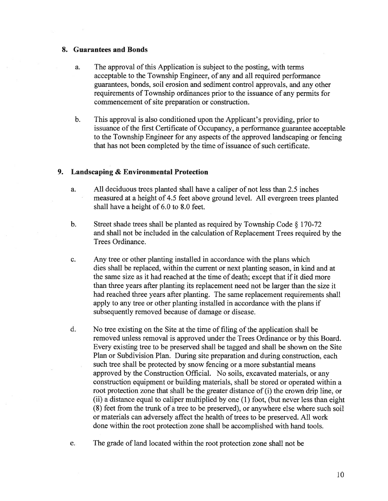### 8. Guarantees and Bonds

- a. The approval of this Application is subject to the posting, with terms acceptable to the Township Engineer, of any and all required performance guarantees, bonds, soil erosion and sediment control approvals, and any other requirements of Township ordinances prior to the issuance of any permits for commencement of site preparation or construction.
- b. This approval is also conditioned upon the Applicant's providing, prior to issuance ofthe first Certificate of Occupancy, <sup>a</sup> performance guarantee acceptable to the Township Engineer for any aspects of the approved landscaping or fencing that has not been completed by the time of issuance of such certificate.

### 9. Landscaping & Environmental Protection

- a. All deciduous trees planted shall have <sup>a</sup> caliper of not less than 2.5 inches measured at <sup>a</sup> height of 4.5 feet above ground level. All evergreen trees planted shall have <sup>a</sup> height of 6.0 to 8.0 feet.
- b. Street shade trees shall be <sup>p</sup>lanted as required by Township Code § 170-72 and shall not be included in the calculation of Replacement Trees required by the Trees Ordinance.
- c. Any tree or other planting installed in accordance with the plans which dies shall be replaced, within the current or next planting season, in kind and at the same size as it had reached at the time of death; except that if it died more than three years after planting its replacement need not be larger than the size it had reached three years after planting. The same replacement requirements shall apply to any tree or other planting installed in accordance with the plans if subsequently removed because of damage or disease.
- d. No tree existing on the Site at the time of filing of the application shall be removed unless removal is approved under the Trees Ordinance or by this Board. Every existing tree to be preserved shall be tagged and shall be shown on the Site Plan or Subdivision Plan. During site preparation and during construction, each such tree shall be protected by snow fencing or <sup>a</sup> more substantial means approved by the Construction Official. No soils, excavated materials, or any construction equipment or building materials, shall be stored or operated within <sup>a</sup> root protection zone that shall be the greater distance of (i) the crown drip line, or (ii) <sup>a</sup> distance equal to caliper multiplied by one (1) foot, (but never less than eight (8) feet from the trunk of <sup>a</sup> tree to be preserved), or anywhere else where such soil or materials can adversely affect the health of trees to be preserved. All work done within the root protection zone shall be accomplished with hand tools.
- e. The grade of land located within the root protection zone shall not be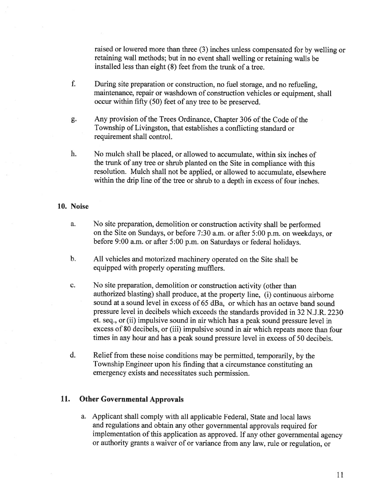raised or lowered more than three (3) inches unless compensated for by welling or retaining wall methods; but in no event shall welling or retaining walls be installed less than eight (8) feet from the trunk of <sup>a</sup> tree.

- f. During site preparation or construction, no fuel storage, and no refueling, maintenance, repair or washdown of construction vehicles or equipment, shall occur within fifty (50) feet of any tree to be preserved.
- g. Any provision of the Trees Ordinance, Chapter 306 of the Code of the Township of Livingston, that establishes <sup>a</sup> conflicting standard or requirement shall control.
- h. No mulch shall be placed, or allowed to accumulate, within six inches of the trunk of any tree or shrub <sup>p</sup>lanted on the Site in compliance with this resolution. Mulch shall not be applied, or allowed to accumulate, elsewhere within the drip line of the tree or shrub to <sup>a</sup> depth in excess of four inches.

## 10. Noise

- a. No site preparation, demolition or construction activity shall be performed on the Site on Sundays, or before 7:30 a.m. or after 5:00 p.m. on weekdays, or before 9:00 a.m. or after 5:00 p.m. on Saturdays or federal holidays.
- b. All vehicles and motorized machinery operated on the Site shall be equipped with properly operating mufflers.
- c. No site preparation, demolition or construction activity (other than authorized blasting) shall produce, at the property line, (i) continuous airborne sound at <sup>a</sup> sound level in excess of 65 dBa, or which has an octave band sound pressure level in decibels which exceeds the standards provided in <sup>32</sup> N.J.R. <sup>2230</sup> et. seq., or (ii) impulsive sound in air which has <sup>a</sup> pea<sup>k</sup> sound pressure level in excess of <sup>80</sup> decibels, or (iii) impulsive sound in air which repeats more than four times in any hour and has <sup>a</sup> pea<sup>k</sup> sound pressure level in excess of 50 decibels.
- d. Relief from these noise conditions may be permitted, temporarily, by the Township Engineer upon his finding that <sup>a</sup> circumstance constituting an emergency exists and necessitates such permission.

# 11. Other Governmental Approvals

a. Applicant shall comply with all applicable Federal, State and local laws and regulations and obtain any other governmental approvals required for implementation of this application as approved. If any other governmental agency or authority grants <sup>a</sup> waiver of or variance from any law, rule or regulation, or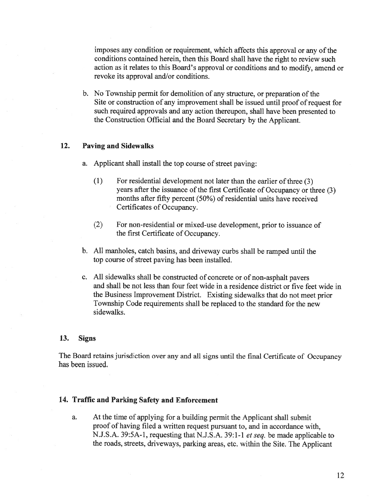imposes any condition or requirement, which affects this approva<sup>l</sup> or any of the conditions contained herein, then this Board shall have the right to review such action as it relates to this Board's approva<sup>l</sup> or conditions and to modify, amend or revoke its approval and/or conditions.

b. No Township permit for demolition of any structure, or preparation of the Site or construction of any improvement shall be issued until proo<sup>f</sup> of reques<sup>t</sup> for such required approvals and any action thereupon, shall have been presented to the Construction Official and the Board Secretary by the Applicant.

## 12. Paving and Sidewalks

- a. Applicant shall install the top course of Street paving:
	- (1) For residential development not later than the earlier of three (3) years after the issuance of the first Certificate of Occupancy or three (3) months after fifty percen<sup>t</sup> (50%) of residential units have received Certificates of Occupancy.
	- (2) For non-residential or mixed-use development, prior to issuance of the first Certificate of Occupancy.
- b. All manholes, catch basins, and driveway curbs shall be ramped until the top course of street paving has been installed.
- c. All sidewalks shall be constructed of concrete or of non-asphalt payers and shall be not less than four feet wide in <sup>a</sup> residence district or five feet wide in the Business Improvement District. Existing sidewalks that do not meet prior Township Code requirements shall be replaced to the standard for the new sidewalks.

### 13. Signs

The Board retains jurisdiction over any and all signs until the final Certificate of Occupancy has been issued.

#### 14. Traffic and Parking Safety and Enforcement

a. At the time of applying for <sup>a</sup> building permit the Applicant shall submit proof of having filed <sup>a</sup> written reques<sup>t</sup> pursuan<sup>t</sup> to, and in accordance with, N.J.S.A. 39:5A-1, requesting that N.J.S.A. 39:1-1 et seq. be made applicable to the roads, streets, driveways, parking areas, etc. within the Site. The Applicant

12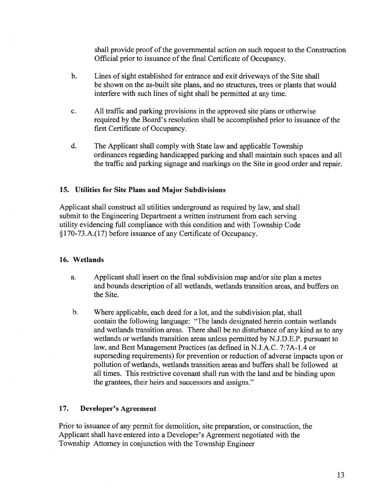shall provide proof of the governmental action on such reques<sup>t</sup> to the Construction Official prior to issuance of the final Certificate of Occupancy.

- b. Lines of sight established for entrance and exit driveways of the Site shall be shown on the as-built site plans, and no structures, trees or plants that would interfere with such lines of sight shall be permitted at any time.
- c. All traffic and parking provisions in the approved site plans or otherwise required by the Board's resolution shall be accomplished prior to issuance of the first Certificate of Occupancy.
- d. The Applicant shall comply with State law and applicable Township ordinances regarding handicapped parking and shall maintain such spaces and all the traffic and parking signage and markings on the Site in good order and repair.

## 15. Utilities for Site Plans and Major Subdivisions

Applicant shall construct all utilities underground as required by law, and shall submit to the Engineering Department <sup>a</sup> written instrument from each serving utility evidencing full compliance with this condition and with Township Code §l70-73.A.(17) before issuance of any Certificate of Occupancy.

#### 16. Wetlands

- a. Applicant shall insert on the final subdivision map and/or site plan <sup>a</sup> metes and bounds description of all wetlands, wetlands transition areas, and buffers on the Site.
- b. Where applicable, each deed for <sup>a</sup> lot, and the subdivision plat, shall contain the following language: "The lands designated herein contain wetlands and wetlands transition areas. There shall be no disturbance of any kind as to any wetlands or wetlands transition areas unless permitted by N.J.D.E.P. pursuan<sup>t</sup> to law, and Best Management Practices (as defined in N.J.A.C. 7:7A- 1.4 or superseding requirements) for prevention or reduction of adverse impacts upon or pollution of wetlands, wetlands transition areas and buffers shall be followed at all times. This restrictive covenant shall run with the land and be binding upon the grantees, their heirs and successors and assigns."

## 17. Developer's Agreement

Prior to issuance of any permit for demolition, site preparation, or construction, the Applicant shall have entered into <sup>a</sup> Developer's Agreement negotiated with the Township Attorney in conjunction with the Township Engineer